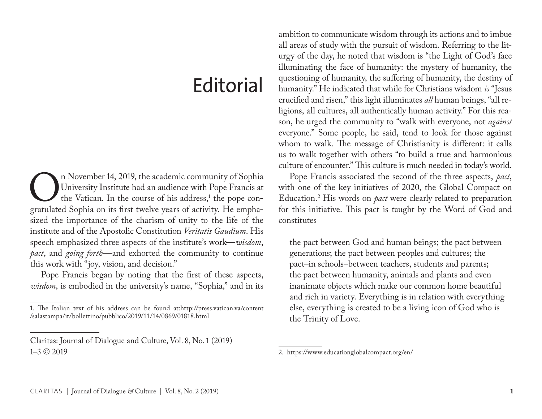## **Editorial**

On November 14, 2019, the academic community of Sophia<br>University Institute had an audience with Pope Francis at<br>the Vatican. In the course of his address,<sup>1</sup> the pope con-<br>gratulated Sophia on its first twelve years of ac University Institute had an audience with Pope Francis at the Vatican. In the course of his address,<sup>1</sup> the pope congratulated Sophia on its first twelve years of activity. He emphasized the importance of the charism of unity to the life of the institute and of the Apostolic Constitution *Veritatis Gaudium*. His speech emphasized three aspects of the institute's work—*wisdom*, *pact*, and *going forth*—and exhorted the community to continue this work with "joy, vision, and decision."

Pope Francis began by noting that the first of these aspects, *wisdom*, is embodied in the university's name, "Sophia," and in its

Claritas: Journal of Dialogue and Culture, Vol. 8, No. 1 (2019) 1–3 © 2019

ambition to communicate wisdom through its actions and to imbue all areas of study with the pursuit of wisdom. Referring to the liturgy of the day, he noted that wisdom is "the Light of God's face illuminating the face of humanity: the mystery of humanity, the questioning of humanity, the suffering of humanity, the destiny of humanity." He indicated that while for Christians wisdom *is* "Jesus crucified and risen," this light illuminates *all* human beings, "all religions, all cultures, all authentically human activity." For this reason, he urged the community to "walk with everyone, not *against* everyone." Some people, he said, tend to look for those against whom to walk. The message of Christianity is different: it calls us to walk together with others "to build a true and harmonious culture of encounter." This culture is much needed in today's world.

Pope Francis associated the second of the three aspects, *pact*, with one of the key initiatives of 2020, the Global Compact on Education.2 His words on *pact* were clearly related to preparation for this initiative. This pact is taught by the Word of God and constitutes

the pact between God and human beings; the pact between generations; the pact between peoples and cultures; the pact–in schools–between teachers, students and parents; the pact between humanity, animals and plants and even inanimate objects which make our common home beautiful and rich in variety. Everything is in relation with everything else, everything is created to be a living icon of God who is the Trinity of Love.

<sup>1.</sup> The Italian text of his address can be found at:http://press.vatican.va/content /salastampa/it/bollettino/pubblico/2019/11/14/0869/01818.html

<sup>2.</sup> https://www.educationglobalcompact.org/en/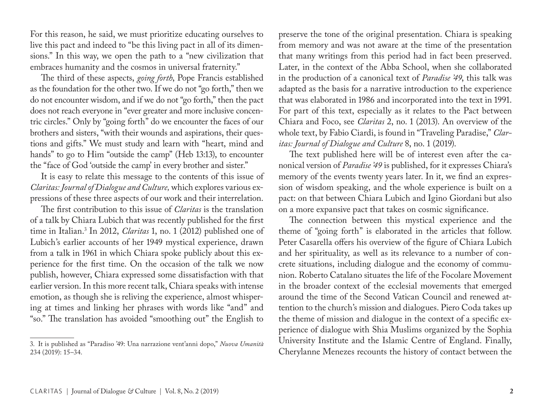For this reason, he said, we must prioritize educating ourselves to live this pact and indeed to "be this living pact in all of its dimensions." In this way, we open the path to a "new civilization that embraces humanity and the cosmos in universal fraternity."

The third of these aspects, *going forth*, Pope Francis established as the foundation for the other two. If we do not "go forth," then we do not encounter wisdom, and if we do not "go forth," then the pact does not reach everyone in "ever greater and more inclusive concentric circles." Only by "going forth" do we encounter the faces of our brothers and sisters, "with their wounds and aspirations, their questions and gifts." We must study and learn with "heart, mind and hands" to go to Him "outside the camp" (Heb 13:13), to encounter the "face of God 'outside the camp' in every brother and sister."

It is easy to relate this message to the contents of this issue of *Claritas: Journal of Dialogue and Culture,* which explores various expressions of these three aspects of our work and their interrelation.

The first contribution to this issue of *Claritas* is the translation of a talk by Chiara Lubich that was recently published for the first time in Italian.3 In 2012, *Claritas* 1, no. 1 (2012) published one of Lubich's earlier accounts of her 1949 mystical experience, drawn from a talk in 1961 in which Chiara spoke publicly about this experience for the first time. On the occasion of the talk we now publish, however, Chiara expressed some dissatisfaction with that earlier version. In this more recent talk, Chiara speaks with intense emotion, as though she is reliving the experience, almost whispering at times and linking her phrases with words like "and" and "so." The translation has avoided "smoothing out" the English to

preserve the tone of the original presentation. Chiara is speaking from memory and was not aware at the time of the presentation that many writings from this period had in fact been preserved. Later, in the context of the Abba School, when she collaborated in the production of a canonical text of *Paradise '49*, this talk was adapted as the basis for a narrative introduction to the experience that was elaborated in 1986 and incorporated into the text in 1991. For part of this text, especially as it relates to the Pact between Chiara and Foco, see *Claritas* 2, no. 1 (2013). An overview of the whole text, by Fabio Ciardi, is found in "Traveling Paradise," *Claritas: Journal of Dialogue and Culture* 8, no. 1 (2019).

The text published here will be of interest even after the canonical version of *Paradise '49* is published, for it expresses Chiara's memory of the events twenty years later. In it, we find an expression of wisdom speaking, and the whole experience is built on a pact: on that between Chiara Lubich and Igino Giordani but also on a more expansive pact that takes on cosmic significance.

The connection between this mystical experience and the theme of "going forth" is elaborated in the articles that follow. Peter Casarella offers his overview of the figure of Chiara Lubich and her spirituality, as well as its relevance to a number of concrete situations, including dialogue and the economy of communion. Roberto Catalano situates the life of the Focolare Movement in the broader context of the ecclesial movements that emerged around the time of the Second Vatican Council and renewed attention to the church's mission and dialogues. Piero Coda takes up the theme of mission and dialogue in the context of a specific experience of dialogue with Shia Muslims organized by the Sophia University Institute and the Islamic Centre of England. Finally, Cherylanne Menezes recounts the history of contact between the

<sup>3.</sup> It is published as "Paradiso '49: Una narrazione vent'anni dopo," *Nuova Umanità* 234 (2019): 15–34.